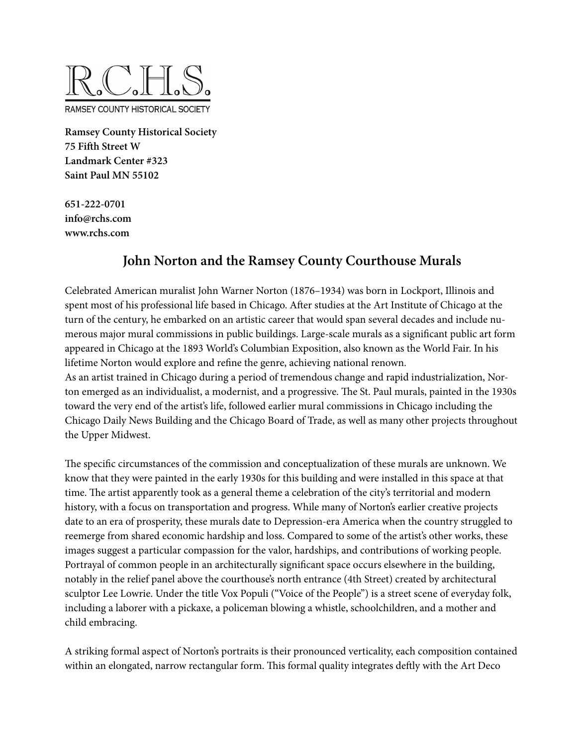

**Ramsey County Historical Society 75 Fifth Street W Landmark Center #323 Saint Paul MN 55102**

**651-222-0701 info@rchs.com www.rchs.com**

# **John Norton and the Ramsey County Courthouse Murals**

Celebrated American muralist John Warner Norton (1876–1934) was born in Lockport, Illinois and spent most of his professional life based in Chicago. After studies at the Art Institute of Chicago at the turn of the century, he embarked on an artistic career that would span several decades and include numerous major mural commissions in public buildings. Large-scale murals as a significant public art form appeared in Chicago at the 1893 World's Columbian Exposition, also known as the World Fair. In his lifetime Norton would explore and refine the genre, achieving national renown.

As an artist trained in Chicago during a period of tremendous change and rapid industrialization, Norton emerged as an individualist, a modernist, and a progressive. The St. Paul murals, painted in the 1930s toward the very end of the artist's life, followed earlier mural commissions in Chicago including the Chicago Daily News Building and the Chicago Board of Trade, as well as many other projects throughout the Upper Midwest.

The specific circumstances of the commission and conceptualization of these murals are unknown. We know that they were painted in the early 1930s for this building and were installed in this space at that time. The artist apparently took as a general theme a celebration of the city's territorial and modern history, with a focus on transportation and progress. While many of Norton's earlier creative projects date to an era of prosperity, these murals date to Depression-era America when the country struggled to reemerge from shared economic hardship and loss. Compared to some of the artist's other works, these images suggest a particular compassion for the valor, hardships, and contributions of working people. Portrayal of common people in an architecturally significant space occurs elsewhere in the building, notably in the relief panel above the courthouse's north entrance (4th Street) created by architectural sculptor Lee Lowrie. Under the title Vox Populi ("Voice of the People") is a street scene of everyday folk, including a laborer with a pickaxe, a policeman blowing a whistle, schoolchildren, and a mother and child embracing.

A striking formal aspect of Norton's portraits is their pronounced verticality, each composition contained within an elongated, narrow rectangular form. This formal quality integrates deftly with the Art Deco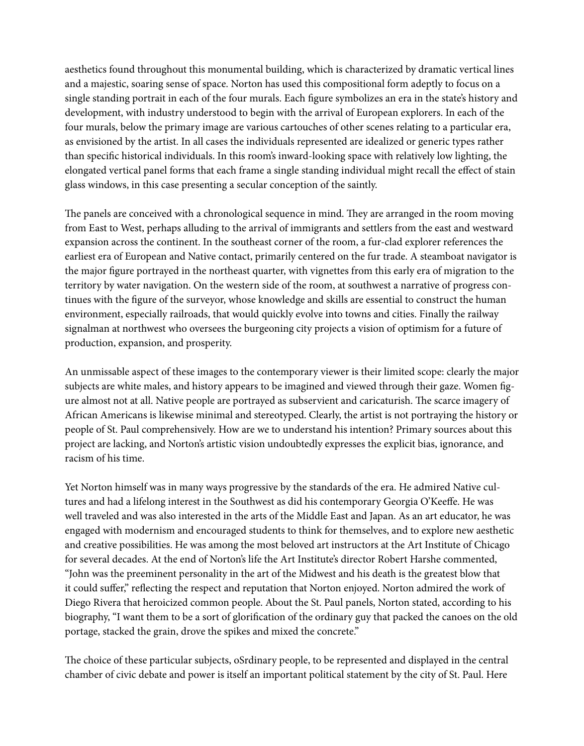aesthetics found throughout this monumental building, which is characterized by dramatic vertical lines and a majestic, soaring sense of space. Norton has used this compositional form adeptly to focus on a single standing portrait in each of the four murals. Each figure symbolizes an era in the state's history and development, with industry understood to begin with the arrival of European explorers. In each of the four murals, below the primary image are various cartouches of other scenes relating to a particular era, as envisioned by the artist. In all cases the individuals represented are idealized or generic types rather than specific historical individuals. In this room's inward-looking space with relatively low lighting, the elongated vertical panel forms that each frame a single standing individual might recall the effect of stain glass windows, in this case presenting a secular conception of the saintly.

The panels are conceived with a chronological sequence in mind. They are arranged in the room moving from East to West, perhaps alluding to the arrival of immigrants and settlers from the east and westward expansion across the continent. In the southeast corner of the room, a fur-clad explorer references the earliest era of European and Native contact, primarily centered on the fur trade. A steamboat navigator is the major figure portrayed in the northeast quarter, with vignettes from this early era of migration to the territory by water navigation. On the western side of the room, at southwest a narrative of progress continues with the figure of the surveyor, whose knowledge and skills are essential to construct the human environment, especially railroads, that would quickly evolve into towns and cities. Finally the railway signalman at northwest who oversees the burgeoning city projects a vision of optimism for a future of production, expansion, and prosperity.

An unmissable aspect of these images to the contemporary viewer is their limited scope: clearly the major subjects are white males, and history appears to be imagined and viewed through their gaze. Women figure almost not at all. Native people are portrayed as subservient and caricaturish. The scarce imagery of African Americans is likewise minimal and stereotyped. Clearly, the artist is not portraying the history or people of St. Paul comprehensively. How are we to understand his intention? Primary sources about this project are lacking, and Norton's artistic vision undoubtedly expresses the explicit bias, ignorance, and racism of his time.

Yet Norton himself was in many ways progressive by the standards of the era. He admired Native cultures and had a lifelong interest in the Southwest as did his contemporary Georgia O'Keeffe. He was well traveled and was also interested in the arts of the Middle East and Japan. As an art educator, he was engaged with modernism and encouraged students to think for themselves, and to explore new aesthetic and creative possibilities. He was among the most beloved art instructors at the Art Institute of Chicago for several decades. At the end of Norton's life the Art Institute's director Robert Harshe commented, "John was the preeminent personality in the art of the Midwest and his death is the greatest blow that it could suffer," reflecting the respect and reputation that Norton enjoyed. Norton admired the work of Diego Rivera that heroicized common people. About the St. Paul panels, Norton stated, according to his biography, "I want them to be a sort of glorification of the ordinary guy that packed the canoes on the old portage, stacked the grain, drove the spikes and mixed the concrete."

The choice of these particular subjects, oSrdinary people, to be represented and displayed in the central chamber of civic debate and power is itself an important political statement by the city of St. Paul. Here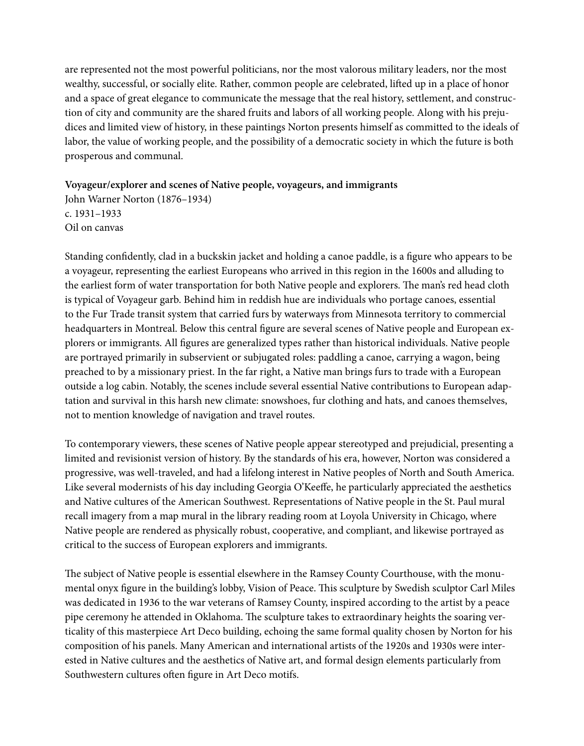are represented not the most powerful politicians, nor the most valorous military leaders, nor the most wealthy, successful, or socially elite. Rather, common people are celebrated, lifted up in a place of honor and a space of great elegance to communicate the message that the real history, settlement, and construction of city and community are the shared fruits and labors of all working people. Along with his prejudices and limited view of history, in these paintings Norton presents himself as committed to the ideals of labor, the value of working people, and the possibility of a democratic society in which the future is both prosperous and communal.

## **Voyageur/explorer and scenes of Native people, voyageurs, and immigrants**

John Warner Norton (1876–1934) c. 1931–1933 Oil on canvas

Standing confidently, clad in a buckskin jacket and holding a canoe paddle, is a figure who appears to be a voyageur, representing the earliest Europeans who arrived in this region in the 1600s and alluding to the earliest form of water transportation for both Native people and explorers. The man's red head cloth is typical of Voyageur garb. Behind him in reddish hue are individuals who portage canoes, essential to the Fur Trade transit system that carried furs by waterways from Minnesota territory to commercial headquarters in Montreal. Below this central figure are several scenes of Native people and European explorers or immigrants. All figures are generalized types rather than historical individuals. Native people are portrayed primarily in subservient or subjugated roles: paddling a canoe, carrying a wagon, being preached to by a missionary priest. In the far right, a Native man brings furs to trade with a European outside a log cabin. Notably, the scenes include several essential Native contributions to European adaptation and survival in this harsh new climate: snowshoes, fur clothing and hats, and canoes themselves, not to mention knowledge of navigation and travel routes.

To contemporary viewers, these scenes of Native people appear stereotyped and prejudicial, presenting a limited and revisionist version of history. By the standards of his era, however, Norton was considered a progressive, was well-traveled, and had a lifelong interest in Native peoples of North and South America. Like several modernists of his day including Georgia O'Keeffe, he particularly appreciated the aesthetics and Native cultures of the American Southwest. Representations of Native people in the St. Paul mural recall imagery from a map mural in the library reading room at Loyola University in Chicago, where Native people are rendered as physically robust, cooperative, and compliant, and likewise portrayed as critical to the success of European explorers and immigrants.

The subject of Native people is essential elsewhere in the Ramsey County Courthouse, with the monumental onyx figure in the building's lobby, Vision of Peace. This sculpture by Swedish sculptor Carl Miles was dedicated in 1936 to the war veterans of Ramsey County, inspired according to the artist by a peace pipe ceremony he attended in Oklahoma. The sculpture takes to extraordinary heights the soaring verticality of this masterpiece Art Deco building, echoing the same formal quality chosen by Norton for his composition of his panels. Many American and international artists of the 1920s and 1930s were interested in Native cultures and the aesthetics of Native art, and formal design elements particularly from Southwestern cultures often figure in Art Deco motifs.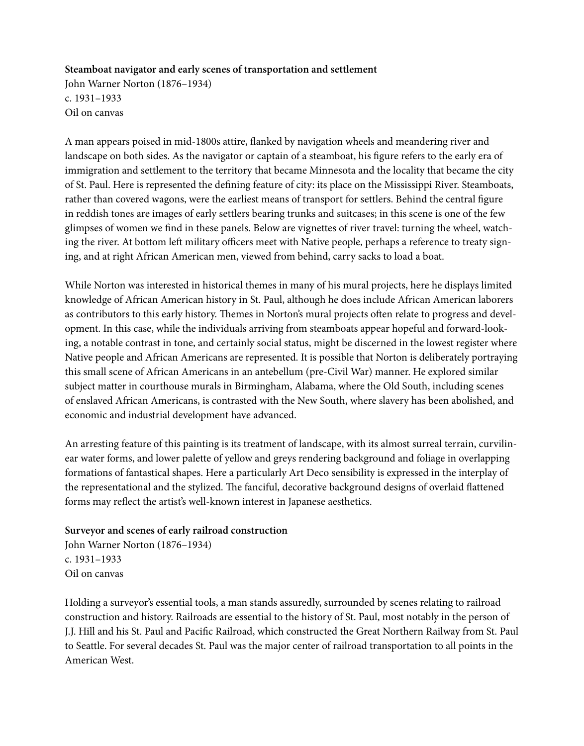## **Steamboat navigator and early scenes of transportation and settlement**

John Warner Norton (1876–1934) c. 1931–1933 Oil on canvas

A man appears poised in mid-1800s attire, flanked by navigation wheels and meandering river and landscape on both sides. As the navigator or captain of a steamboat, his figure refers to the early era of immigration and settlement to the territory that became Minnesota and the locality that became the city of St. Paul. Here is represented the defining feature of city: its place on the Mississippi River. Steamboats, rather than covered wagons, were the earliest means of transport for settlers. Behind the central figure in reddish tones are images of early settlers bearing trunks and suitcases; in this scene is one of the few glimpses of women we find in these panels. Below are vignettes of river travel: turning the wheel, watching the river. At bottom left military officers meet with Native people, perhaps a reference to treaty signing, and at right African American men, viewed from behind, carry sacks to load a boat.

While Norton was interested in historical themes in many of his mural projects, here he displays limited knowledge of African American history in St. Paul, although he does include African American laborers as contributors to this early history. Themes in Norton's mural projects often relate to progress and development. In this case, while the individuals arriving from steamboats appear hopeful and forward-looking, a notable contrast in tone, and certainly social status, might be discerned in the lowest register where Native people and African Americans are represented. It is possible that Norton is deliberately portraying this small scene of African Americans in an antebellum (pre-Civil War) manner. He explored similar subject matter in courthouse murals in Birmingham, Alabama, where the Old South, including scenes of enslaved African Americans, is contrasted with the New South, where slavery has been abolished, and economic and industrial development have advanced.

An arresting feature of this painting is its treatment of landscape, with its almost surreal terrain, curvilinear water forms, and lower palette of yellow and greys rendering background and foliage in overlapping formations of fantastical shapes. Here a particularly Art Deco sensibility is expressed in the interplay of the representational and the stylized. The fanciful, decorative background designs of overlaid flattened forms may reflect the artist's well-known interest in Japanese aesthetics.

#### **Surveyor and scenes of early railroad construction**

John Warner Norton (1876–1934) c. 1931–1933 Oil on canvas

Holding a surveyor's essential tools, a man stands assuredly, surrounded by scenes relating to railroad construction and history. Railroads are essential to the history of St. Paul, most notably in the person of J.J. Hill and his St. Paul and Pacific Railroad, which constructed the Great Northern Railway from St. Paul to Seattle. For several decades St. Paul was the major center of railroad transportation to all points in the American West.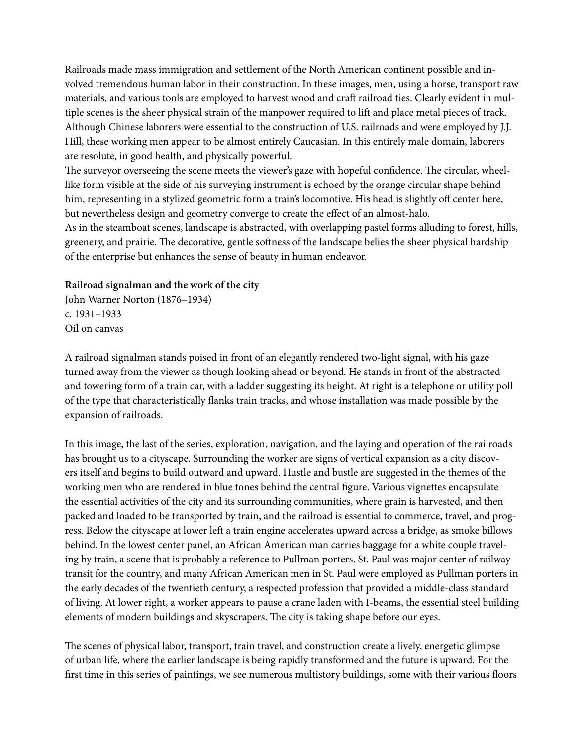Railroads made mass immigration and settlement of the North American continent possible and involved tremendous human labor in their construction. In these images, men, using a horse, transport raw materials, and various tools are employed to harvest wood and craft railroad ties. Clearly evident in multiple scenes is the sheer physical strain of the manpower required to lift and place metal pieces of track. Although Chinese laborers were essential to the construction of U.S. railroads and were employed by J.J. Hill, these working men appear to be almost entirely Caucasian. In this entirely male domain, laborers are resolute, in good health, and physically powerful.

The surveyor overseeing the scene meets the viewer's gaze with hopeful confidence. The circular, wheellike form visible at the side of his surveying instrument is echoed by the orange circular shape behind him, representing in a stylized geometric form a train's locomotive. His head is slightly off center here, but nevertheless design and geometry converge to create the effect of an almost-halo.

As in the steamboat scenes, landscape is abstracted, with overlapping pastel forms alluding to forest, hills, greenery, and prairie. The decorative, gentle softness of the landscape belies the sheer physical hardship of the enterprise but enhances the sense of beauty in human endeavor.

#### **Railroad signalman and the work of the city**

John Warner Norton (1876–1934) c. 1931–1933 Oil on canvas

A railroad signalman stands poised in front of an elegantly rendered two-light signal, with his gaze turned away from the viewer as though looking ahead or beyond. He stands in front of the abstracted and towering form of a train car, with a ladder suggesting its height. At right is a telephone or utility poll of the type that characteristically flanks train tracks, and whose installation was made possible by the expansion of railroads.

In this image, the last of the series, exploration, navigation, and the laying and operation of the railroads has brought us to a cityscape. Surrounding the worker are signs of vertical expansion as a city discovers itself and begins to build outward and upward. Hustle and bustle are suggested in the themes of the working men who are rendered in blue tones behind the central figure. Various vignettes encapsulate the essential activities of the city and its surrounding communities, where grain is harvested, and then packed and loaded to be transported by train, and the railroad is essential to commerce, travel, and progress. Below the cityscape at lower left a train engine accelerates upward across a bridge, as smoke billows behind. In the lowest center panel, an African American man carries baggage for a white couple traveling by train, a scene that is probably a reference to Pullman porters. St. Paul was major center of railway transit for the country, and many African American men in St. Paul were employed as Pullman porters in the early decades of the twentieth century, a respected profession that provided a middle-class standard of living. At lower right, a worker appears to pause a crane laden with I-beams, the essential steel building elements of modern buildings and skyscrapers. The city is taking shape before our eyes.

The scenes of physical labor, transport, train travel, and construction create a lively, energetic glimpse of urban life, where the earlier landscape is being rapidly transformed and the future is upward. For the first time in this series of paintings, we see numerous multistory buildings, some with their various floors